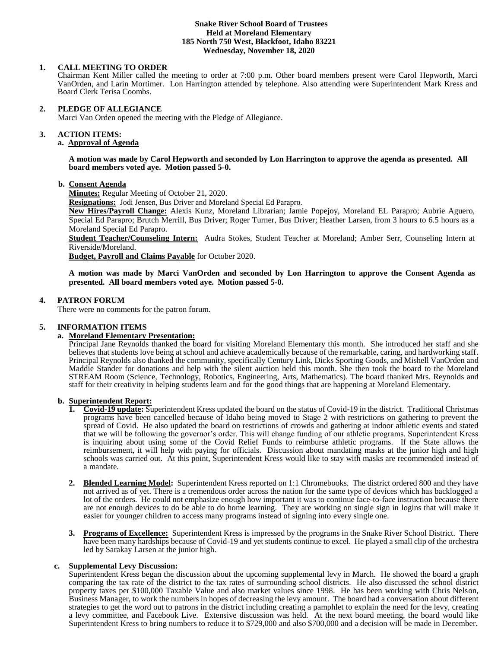#### **Snake River School Board of Trustees Held at Moreland Elementary 185 North 750 West, Blackfoot, Idaho 83221 Wednesday, November 18, 2020**

## **1. CALL MEETING TO ORDER**

Chairman Kent Miller called the meeting to order at 7:00 p.m. Other board members present were Carol Hepworth, Marci VanOrden, and Larin Mortimer. Lon Harrington attended by telephone. Also attending were Superintendent Mark Kress and Board Clerk Terisa Coombs.

### **2. PLEDGE OF ALLEGIANCE**

Marci Van Orden opened the meeting with the Pledge of Allegiance.

#### 3. **3. ACTION ITEMS:**

# **a. Approval of Agenda**

**A motion was made by Carol Hepworth and seconded by Lon Harrington to approve the agenda as presented. All board members voted aye. Motion passed 5-0.**

#### **b. Consent Agenda**

**Minutes:** Regular Meeting of October 21, 2020.

**Resignations:** Jodi Jensen, Bus Driver and Moreland Special Ed Parapro.

**New Hires/Payroll Change:** Alexis Kunz, Moreland Librarian; Jamie Popejoy, Moreland EL Parapro; Aubrie Aguero, Special Ed Parapro; Brutch Merrill, Bus Driver; Roger Turner, Bus Driver; Heather Larsen, from 3 hours to 6.5 hours as a Moreland Special Ed Parapro.

**Student Teacher/Counseling Intern:** Audra Stokes, Student Teacher at Moreland; Amber Serr, Counseling Intern at Riverside/Moreland.

**Budget, Payroll and Claims Payable** for October 2020.

**A motion was made by Marci VanOrden and seconded by Lon Harrington to approve the Consent Agenda as presented. All board members voted aye. Motion passed 5-0.**

# **4. PATRON FORUM**

There were no comments for the patron forum.

# **5. INFORMATION ITEMS**

#### **a. Moreland Elementary Presentation:**

Principal Jane Reynolds thanked the board for visiting Moreland Elementary this month. She introduced her staff and she believes that students love being at school and achieve academically because of the remarkable, caring, and hardworking staff. Principal Reynolds also thanked the community, specifically Century Link, Dicks Sporting Goods, and Mishell VanOrden and Maddie Stander for donations and help with the silent auction held this month. She then took the board to the Moreland STREAM Room (Science, Technology, Robotics, Engineering, Arts, Mathematics). The board thanked Mrs. Reynolds and staff for their creativity in helping students learn and for the good things that are happening at Moreland Elementary.

#### **b. Superintendent Report:**

- **1. Covid-19 update:** Superintendent Kress updated the board on the status of Covid-19 in the district. Traditional Christmas programs have been cancelled because of Idaho being moved to Stage 2 with restrictions on gathering to prevent the spread of Covid. He also updated the board on restrictions of crowds and gathering at indoor athletic events and stated that we will be following the governor's order. This will change funding of our athletic programs. Superintendent Kress is inquiring about using some of the Covid Relief Funds to reimburse athletic programs. If the State allows the reimbursement, it will help with paying for officials. Discussion about mandating masks at the junior high and high schools was carried out. At this point, Superintendent Kress would like to stay with masks are recommended instead of a mandate.
- **2. Blended Learning Model:** Superintendent Kress reported on 1:1 Chromebooks. The district ordered 800 and they have not arrived as of yet. There is a tremendous order across the nation for the same type of devices which has backlogged a lot of the orders. He could not emphasize enough how important it was to continue face-to-face instruction because there are not enough devices to do be able to do home learning. They are working on single sign in logins that will make it easier for younger children to access many programs instead of signing into every single one.
- **3. Programs of Excellence:** Superintendent Kress is impressed by the programs in the Snake River School District. There have been many hardships because of Covid-19 and yet students continue to excel. He played a small clip of the orchestra led by Sarakay Larsen at the junior high.

# **c. Supplemental Levy Discussion:**

Superintendent Kress began the discussion about the upcoming supplemental levy in March. He showed the board a graph comparing the tax rate of the district to the tax rates of surrounding school districts. He also discussed the school district property taxes per \$100,000 Taxable Value and also market values since 1998. He has been working with Chris Nelson, Business Manager, to work the numbers in hopes of decreasing the levy amount. The board had a conversation about different strategies to get the word out to patrons in the district including creating a pamphlet to explain the need for the levy, creating a levy committee, and Facebook Live. Extensive discussion was held. At the next board meeting, the board would like Superintendent Kress to bring numbers to reduce it to \$729,000 and also \$700,000 and a decision will be made in December.